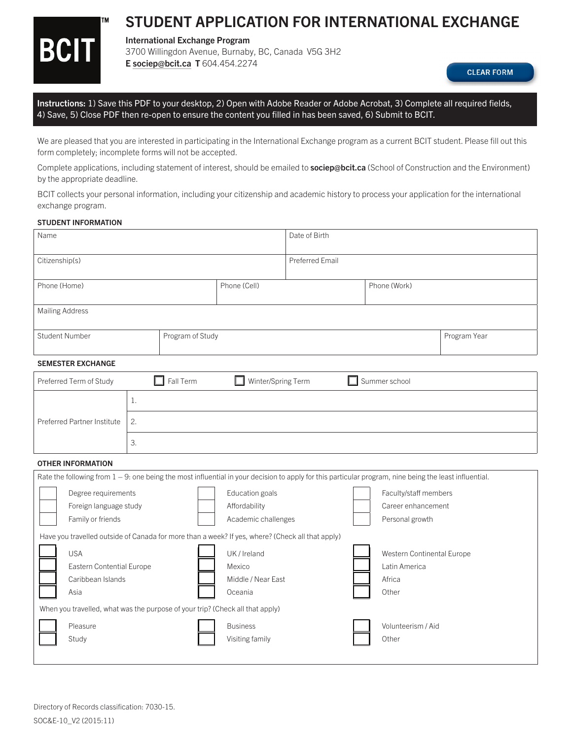# **BCIT**

**TM** 

## STUDENT APPLICATION FOR INTERNATIONAL EXCHANGE

### International Exchange Program

3700 Willingdon Avenue, Burnaby, BC, Canada V5G 3H2 [E sociep@bcit.ca](mailto:sociep@bcit.ca) T 604.454.2274

**CLEAR FORM** 

Instructions: 1) Save this PDF to your desktop, 2) Open with Adobe Reader or Adobe Acrobat, 3) Complete all required fields, 4) Save, 5) Close PDF then re-open to ensure the content you filled in has been saved, 6) Submit to BCIT.

We are pleased that you are interested in participating in the International Exchange program as a current BCIT student. Please fill out this form completely; incomplete forms will not be accepted.

Complete applications, including statement of interest, should be emailed to **[sociep@bcit.ca](mailto:sociep@bcit.ca)** (School of Construction and the Environment) by the appropriate deadline.

BCIT collects your personal information, including your citizenship and academic history to process your application for the international exchange program.

#### STUDENT INFORMATION

| Name                                                                                                                                                   |    |                  |                         | Date of Birth          |                            |                    |  |  |
|--------------------------------------------------------------------------------------------------------------------------------------------------------|----|------------------|-------------------------|------------------------|----------------------------|--------------------|--|--|
| Citizenship(s)                                                                                                                                         |    |                  |                         | <b>Preferred Email</b> |                            |                    |  |  |
| Phone (Home)                                                                                                                                           |    |                  | Phone (Cell)            |                        | Phone (Work)               |                    |  |  |
| <b>Mailing Address</b>                                                                                                                                 |    |                  |                         |                        |                            |                    |  |  |
| <b>Student Number</b>                                                                                                                                  |    | Program of Study |                         |                        | Program Year               |                    |  |  |
| <b>SEMESTER EXCHANGE</b>                                                                                                                               |    |                  |                         |                        |                            |                    |  |  |
| $\Box$ Fall Term<br>$\Box$ Summer school<br>$\Box$ Winter/Spring Term<br>Preferred Term of Study                                                       |    |                  |                         |                        |                            |                    |  |  |
|                                                                                                                                                        | 1. |                  |                         |                        |                            |                    |  |  |
| <b>Preferred Partner Institute</b>                                                                                                                     | 2. |                  |                         |                        |                            |                    |  |  |
|                                                                                                                                                        | 3. |                  |                         |                        |                            |                    |  |  |
| <b>OTHER INFORMATION</b>                                                                                                                               |    |                  |                         |                        |                            |                    |  |  |
| Rate the following from 1 - 9: one being the most influential in your decision to apply for this particular program, nine being the least influential. |    |                  |                         |                        |                            |                    |  |  |
| Degree requirements                                                                                                                                    |    |                  | Education goals         |                        | Faculty/staff members      |                    |  |  |
| Foreign language study                                                                                                                                 |    |                  | Affordability           |                        | Career enhancement         |                    |  |  |
| Family or friends                                                                                                                                      |    |                  | Academic challenges     |                        | Personal growth            |                    |  |  |
| Have you travelled outside of Canada for more than a week? If yes, where? (Check all that apply)                                                       |    |                  |                         |                        |                            |                    |  |  |
| <b>USA</b>                                                                                                                                             |    |                  | UK / Ireland            |                        | Western Continental Europe |                    |  |  |
| Eastern Contential Europe                                                                                                                              |    |                  | Latin America<br>Mexico |                        |                            |                    |  |  |
| Caribbean Islands                                                                                                                                      |    |                  | Middle / Near East      | Africa                 |                            |                    |  |  |
| Asia                                                                                                                                                   |    |                  | Other<br>Oceania        |                        |                            |                    |  |  |
| When you travelled, what was the purpose of your trip? (Check all that apply)                                                                          |    |                  |                         |                        |                            |                    |  |  |
| Pleasure                                                                                                                                               |    |                  | <b>Business</b>         |                        |                            | Volunteerism / Aid |  |  |
| Study                                                                                                                                                  |    |                  | Visiting family         |                        | Other                      |                    |  |  |
|                                                                                                                                                        |    |                  |                         |                        |                            |                    |  |  |